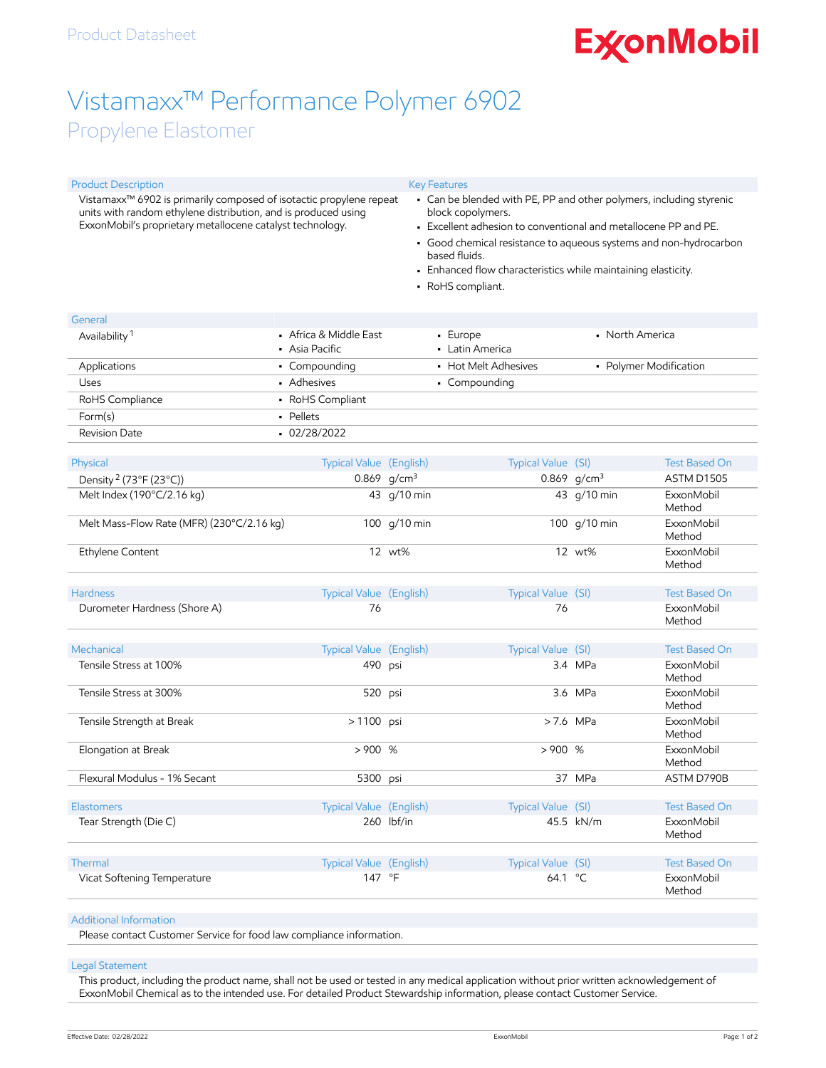# **ExconMobil**

# Vistamaxx™ Performance Polymer 6902

### Propylene Elastomer

| Vistamaxx™ 6902 is primarily composed of isotactic propylene repeat<br>units with random ethylene distribution, and is produced using<br>ExxonMobil's proprietary metallocene catalyst technology. |                                                                           | • Can be blended with PE, PP and other polymers, including styrenic<br>block copolymers.                                                                                                                                                                                               |                                                                             |                                                                                                                                                                                                                                                                                                                        |  |
|----------------------------------------------------------------------------------------------------------------------------------------------------------------------------------------------------|---------------------------------------------------------------------------|----------------------------------------------------------------------------------------------------------------------------------------------------------------------------------------------------------------------------------------------------------------------------------------|-----------------------------------------------------------------------------|------------------------------------------------------------------------------------------------------------------------------------------------------------------------------------------------------------------------------------------------------------------------------------------------------------------------|--|
|                                                                                                                                                                                                    |                                                                           |                                                                                                                                                                                                                                                                                        | • Good chemical resistance to aqueous systems and non-hydrocarbon           |                                                                                                                                                                                                                                                                                                                        |  |
|                                                                                                                                                                                                    |                                                                           |                                                                                                                                                                                                                                                                                        |                                                                             |                                                                                                                                                                                                                                                                                                                        |  |
| • Enhanced flow characteristics while maintaining elasticity.                                                                                                                                      |                                                                           |                                                                                                                                                                                                                                                                                        |                                                                             |                                                                                                                                                                                                                                                                                                                        |  |
|                                                                                                                                                                                                    |                                                                           |                                                                                                                                                                                                                                                                                        |                                                                             |                                                                                                                                                                                                                                                                                                                        |  |
|                                                                                                                                                                                                    |                                                                           |                                                                                                                                                                                                                                                                                        |                                                                             |                                                                                                                                                                                                                                                                                                                        |  |
|                                                                                                                                                                                                    |                                                                           | • North America                                                                                                                                                                                                                                                                        |                                                                             |                                                                                                                                                                                                                                                                                                                        |  |
| • Asia Pacific                                                                                                                                                                                     |                                                                           | • Latin America                                                                                                                                                                                                                                                                        |                                                                             |                                                                                                                                                                                                                                                                                                                        |  |
| • Compounding                                                                                                                                                                                      |                                                                           | • Polymer Modification<br>• Hot Melt Adhesives                                                                                                                                                                                                                                         |                                                                             |                                                                                                                                                                                                                                                                                                                        |  |
| • Adhesives                                                                                                                                                                                        |                                                                           | • Compounding                                                                                                                                                                                                                                                                          |                                                                             |                                                                                                                                                                                                                                                                                                                        |  |
| • RoHS Compliant                                                                                                                                                                                   |                                                                           |                                                                                                                                                                                                                                                                                        |                                                                             |                                                                                                                                                                                                                                                                                                                        |  |
| - Pellets                                                                                                                                                                                          |                                                                           |                                                                                                                                                                                                                                                                                        |                                                                             |                                                                                                                                                                                                                                                                                                                        |  |
| $-02/28/2022$                                                                                                                                                                                      |                                                                           |                                                                                                                                                                                                                                                                                        |                                                                             |                                                                                                                                                                                                                                                                                                                        |  |
|                                                                                                                                                                                                    |                                                                           |                                                                                                                                                                                                                                                                                        |                                                                             | <b>Test Based On</b>                                                                                                                                                                                                                                                                                                   |  |
|                                                                                                                                                                                                    |                                                                           |                                                                                                                                                                                                                                                                                        |                                                                             | ASTM D1505                                                                                                                                                                                                                                                                                                             |  |
|                                                                                                                                                                                                    |                                                                           |                                                                                                                                                                                                                                                                                        |                                                                             | <b>ExxonMobil</b><br>Method                                                                                                                                                                                                                                                                                            |  |
|                                                                                                                                                                                                    |                                                                           |                                                                                                                                                                                                                                                                                        |                                                                             | <b>ExxonMobil</b><br>Method                                                                                                                                                                                                                                                                                            |  |
|                                                                                                                                                                                                    |                                                                           |                                                                                                                                                                                                                                                                                        |                                                                             | <b>ExxonMobil</b><br>Method                                                                                                                                                                                                                                                                                            |  |
|                                                                                                                                                                                                    |                                                                           |                                                                                                                                                                                                                                                                                        |                                                                             | <b>Test Based On</b>                                                                                                                                                                                                                                                                                                   |  |
|                                                                                                                                                                                                    |                                                                           |                                                                                                                                                                                                                                                                                        |                                                                             | <b>ExxonMobil</b>                                                                                                                                                                                                                                                                                                      |  |
|                                                                                                                                                                                                    |                                                                           |                                                                                                                                                                                                                                                                                        |                                                                             | Method                                                                                                                                                                                                                                                                                                                 |  |
|                                                                                                                                                                                                    |                                                                           |                                                                                                                                                                                                                                                                                        |                                                                             | <b>Test Based On</b>                                                                                                                                                                                                                                                                                                   |  |
|                                                                                                                                                                                                    |                                                                           |                                                                                                                                                                                                                                                                                        |                                                                             | <b>ExxonMobil</b><br>Method                                                                                                                                                                                                                                                                                            |  |
|                                                                                                                                                                                                    |                                                                           |                                                                                                                                                                                                                                                                                        |                                                                             | <b>ExxonMobil</b><br>Method                                                                                                                                                                                                                                                                                            |  |
|                                                                                                                                                                                                    |                                                                           |                                                                                                                                                                                                                                                                                        |                                                                             | ExxonMobil<br>Method                                                                                                                                                                                                                                                                                                   |  |
|                                                                                                                                                                                                    |                                                                           |                                                                                                                                                                                                                                                                                        |                                                                             | <b>ExxonMobil</b><br>Method                                                                                                                                                                                                                                                                                            |  |
|                                                                                                                                                                                                    |                                                                           |                                                                                                                                                                                                                                                                                        |                                                                             | ASTM D790B                                                                                                                                                                                                                                                                                                             |  |
|                                                                                                                                                                                                    |                                                                           |                                                                                                                                                                                                                                                                                        |                                                                             | <b>Test Based On</b>                                                                                                                                                                                                                                                                                                   |  |
|                                                                                                                                                                                                    |                                                                           |                                                                                                                                                                                                                                                                                        |                                                                             | ExxonMobil                                                                                                                                                                                                                                                                                                             |  |
|                                                                                                                                                                                                    |                                                                           |                                                                                                                                                                                                                                                                                        |                                                                             | Method                                                                                                                                                                                                                                                                                                                 |  |
|                                                                                                                                                                                                    |                                                                           |                                                                                                                                                                                                                                                                                        |                                                                             | <b>Test Based On</b>                                                                                                                                                                                                                                                                                                   |  |
|                                                                                                                                                                                                    |                                                                           |                                                                                                                                                                                                                                                                                        |                                                                             | <b>ExxonMobil</b><br>Method                                                                                                                                                                                                                                                                                            |  |
|                                                                                                                                                                                                    | • Africa & Middle East<br>Melt Mass-Flow Rate (MFR) (230°C/2.16 kg)<br>76 | <b>Typical Value (English)</b><br>0.869 $g/cm^3$<br>43 g/10 min<br>100 g/10 min<br>12 wt%<br>Typical Value (English)<br>Typical Value (English)<br>490 psi<br>520 psi<br>> 1100 psi<br>>900%<br>5300 psi<br>Typical Value (English)<br>260 lbf/in<br>Typical Value (English)<br>147 °F | <b>Key Features</b><br>based fluids.<br>• RoHS compliant.<br>• Europe<br>76 | • Excellent adhesion to conventional and metallocene PP and PE.<br>Typical Value (SI)<br>0.869 $g/cm^3$<br>43 g/10 min<br>100 g/10 min<br>12 wt%<br>Typical Value (SI)<br>Typical Value (SI)<br>3.4 MPa<br>3.6 MPa<br>> 7.6 MPa<br>>900%<br>37 MPa<br>Typical Value (SI)<br>45.5 kN/m<br>Typical Value (SI)<br>64.1 °C |  |

#### Additional Information

Please contact Customer Service for food law compliance information.

#### Legal Statement

This product, including the product name, shall not be used or tested in any medical application without prior written acknowledgement of ExxonMobil Chemical as to the intended use. For detailed Product Stewardship information, please contact Customer Service.